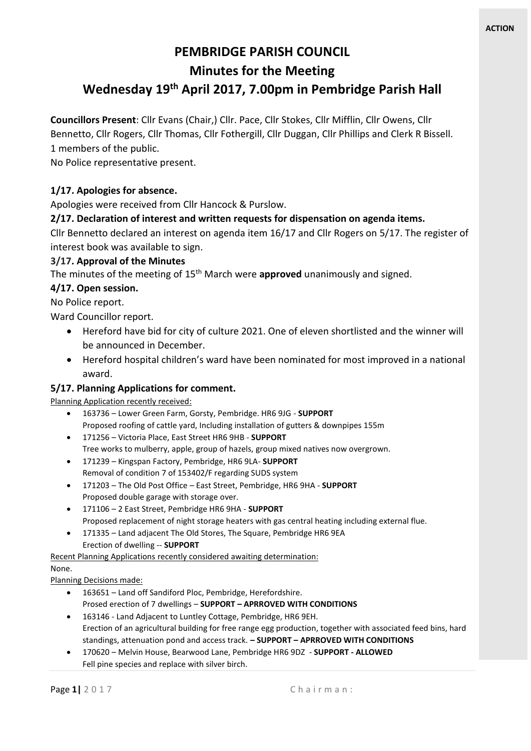# **PEMBRIDGE PARISH COUNCIL Minutes for the Meeting**

# **Wednesday 19 th April 2017, 7.00pm in Pembridge Parish Hall**

**Councillors Present**: Cllr Evans (Chair,) Cllr. Pace, Cllr Stokes, Cllr Mifflin, Cllr Owens, Cllr Bennetto, Cllr Rogers, Cllr Thomas, Cllr Fothergill, Cllr Duggan, Cllr Phillips and Clerk R Bissell.

1 members of the public.

No Police representative present.

#### **1/17. Apologies for absence.**

Apologies were received from Cllr Hancock & Purslow.

#### **2/17. Declaration of interest and written requests for dispensation on agenda items.**

Cllr Bennetto declared an interest on agenda item 16/17 and Cllr Rogers on 5/17. The register of interest book was available to sign.

#### **3/17. Approval of the Minutes**

The minutes of the meeting of 15th March were **approved** unanimously and signed.

#### **4/17. Open session.**

No Police report.

Ward Councillor report.

- Hereford have bid for city of culture 2021. One of eleven shortlisted and the winner will be announced in December.
- Hereford hospital children's ward have been nominated for most improved in a national award.

### **5/17. Planning Applications for comment.**

Planning Application recently received:

- 163736 Lower Green Farm, Gorsty, Pembridge. HR6 9JG **SUPPORT** Proposed roofing of cattle yard, Including installation of gutters & downpipes 155m
- 171256 Victoria Place, East Street HR6 9HB **SUPPORT** Tree works to mulberry, apple, group of hazels, group mixed natives now overgrown.
- 171239 Kingspan Factory, Pembridge, HR6 9LA- **SUPPORT** Removal of condition 7 of 153402/F regarding SUDS system
- 171203 The Old Post Office East Street, Pembridge, HR6 9HA **SUPPORT** Proposed double garage with storage over.
- 171106 2 East Street, Pembridge HR6 9HA **SUPPORT** Proposed replacement of night storage heaters with gas central heating including external flue.
- 171335 Land adjacent The Old Stores, The Square, Pembridge HR6 9EA Erection of dwelling -- **SUPPORT**

Recent Planning Applications recently considered awaiting determination:

#### None.

Planning Decisions made:

- 163651 Land off Sandiford Ploc, Pembridge, Herefordshire. Prosed erection of 7 dwellings – **SUPPORT – APRROVED WITH CONDITIONS**
- 163146 Land Adjacent to Luntley Cottage, Pembridge, HR6 9EH. Erection of an agricultural building for free range egg production, together with associated feed bins, hard standings, attenuation pond and access track. **– SUPPORT – APRROVED WITH CONDITIONS**
- 170620 Melvin House, Bearwood Lane, Pembridge HR6 9DZ **SUPPORT - ALLOWED** Fell pine species and replace with silver birch.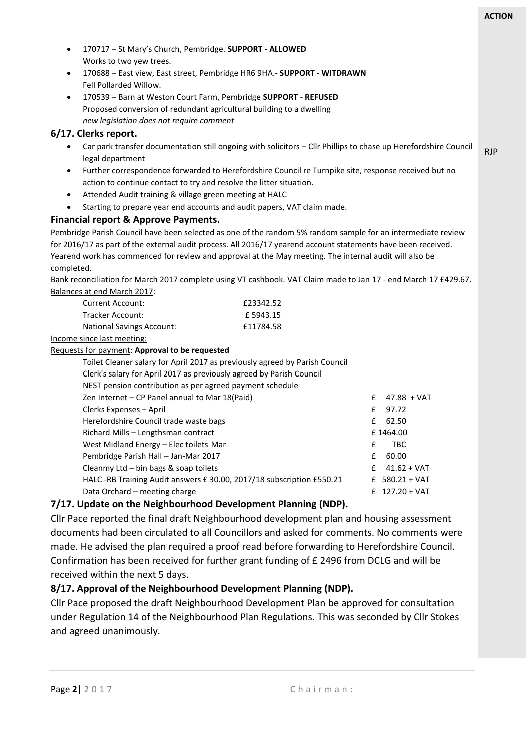|                                                                                                                                     |                                                                                                      |                                                                                                                 |   |                  | <b>ACTION</b> |
|-------------------------------------------------------------------------------------------------------------------------------------|------------------------------------------------------------------------------------------------------|-----------------------------------------------------------------------------------------------------------------|---|------------------|---------------|
| ٠                                                                                                                                   |                                                                                                      |                                                                                                                 |   |                  |               |
|                                                                                                                                     | 170717 - St Mary's Church, Pembridge. SUPPORT - ALLOWED<br>Works to two yew trees.                   |                                                                                                                 |   |                  |               |
| $\bullet$                                                                                                                           |                                                                                                      |                                                                                                                 |   |                  |               |
|                                                                                                                                     | Fell Pollarded Willow.                                                                               | 170688 - East view, East street, Pembridge HR6 9HA.- SUPPORT - WITDRAWN                                         |   |                  |               |
|                                                                                                                                     |                                                                                                      |                                                                                                                 |   |                  |               |
| $\bullet$                                                                                                                           |                                                                                                      | 170539 - Barn at Weston Court Farm, Pembridge SUPPORT - REFUSED                                                 |   |                  |               |
|                                                                                                                                     |                                                                                                      | Proposed conversion of redundant agricultural building to a dwelling                                            |   |                  |               |
|                                                                                                                                     | new legislation does not require comment                                                             |                                                                                                                 |   |                  |               |
| 6/17. Clerks report.                                                                                                                |                                                                                                      |                                                                                                                 |   |                  |               |
| Car park transfer documentation still ongoing with solicitors - Cllr Phillips to chase up Herefordshire Council<br>legal department |                                                                                                      |                                                                                                                 |   |                  | <b>RJP</b>    |
|                                                                                                                                     | Further correspondence forwarded to Herefordshire Council re Turnpike site, response received but no |                                                                                                                 |   |                  |               |
|                                                                                                                                     |                                                                                                      | action to continue contact to try and resolve the litter situation.                                             |   |                  |               |
| $\bullet$                                                                                                                           | Attended Audit training & village green meeting at HALC                                              |                                                                                                                 |   |                  |               |
| $\bullet$                                                                                                                           | Starting to prepare year end accounts and audit papers, VAT claim made.                              |                                                                                                                 |   |                  |               |
|                                                                                                                                     | Financial report & Approve Payments.                                                                 |                                                                                                                 |   |                  |               |
|                                                                                                                                     |                                                                                                      | Pembridge Parish Council have been selected as one of the random 5% random sample for an intermediate review    |   |                  |               |
|                                                                                                                                     |                                                                                                      | for 2016/17 as part of the external audit process. All 2016/17 yearend account statements have been received.   |   |                  |               |
|                                                                                                                                     |                                                                                                      | Yearend work has commenced for review and approval at the May meeting. The internal audit will also be          |   |                  |               |
| completed.                                                                                                                          |                                                                                                      |                                                                                                                 |   |                  |               |
|                                                                                                                                     |                                                                                                      | Bank reconciliation for March 2017 complete using VT cashbook. VAT Claim made to Jan 17 - end March 17 £429.67. |   |                  |               |
|                                                                                                                                     | Balances at end March 2017:                                                                          |                                                                                                                 |   |                  |               |
|                                                                                                                                     | Current Account:                                                                                     | £23342.52                                                                                                       |   |                  |               |
|                                                                                                                                     | Tracker Account:                                                                                     | £5943.15                                                                                                        |   |                  |               |
|                                                                                                                                     | <b>National Savings Account:</b>                                                                     | £11784.58                                                                                                       |   |                  |               |
|                                                                                                                                     | Income since last meeting:                                                                           |                                                                                                                 |   |                  |               |
|                                                                                                                                     | Requests for payment: Approval to be requested                                                       |                                                                                                                 |   |                  |               |
|                                                                                                                                     |                                                                                                      | Toilet Cleaner salary for April 2017 as previously agreed by Parish Council                                     |   |                  |               |
|                                                                                                                                     |                                                                                                      | Clerk's salary for April 2017 as previously agreed by Parish Council                                            |   |                  |               |
|                                                                                                                                     | NEST pension contribution as per agreed payment schedule                                             |                                                                                                                 |   |                  |               |
|                                                                                                                                     | Zen Internet - CP Panel annual to Mar 18(Paid)                                                       |                                                                                                                 | £ | 47.88 + VAT      |               |
|                                                                                                                                     | Clerks Expenses - April                                                                              |                                                                                                                 | £ | 97.72            |               |
|                                                                                                                                     | Herefordshire Council trade waste bags                                                               |                                                                                                                 | £ | 62.50            |               |
|                                                                                                                                     | Richard Mills - Lengthsman contract<br>£1464.00                                                      |                                                                                                                 |   |                  |               |
|                                                                                                                                     | TBC<br>West Midland Energy - Elec toilets Mar<br>£                                                   |                                                                                                                 |   |                  |               |
|                                                                                                                                     | Pembridge Parish Hall - Jan-Mar 2017<br>£<br>60.00                                                   |                                                                                                                 |   |                  |               |
|                                                                                                                                     | Cleanmy Ltd - bin bags & soap toilets                                                                |                                                                                                                 | £ | $41.62 + VAT$    |               |
|                                                                                                                                     |                                                                                                      | HALC -RB Training Audit answers £ 30.00, 2017/18 subscription £550.21                                           | £ | $580.21 + VAT$   |               |
|                                                                                                                                     | Data Orchard - meeting charge                                                                        |                                                                                                                 |   | £ $127.20 + VAT$ |               |
|                                                                                                                                     |                                                                                                      | a Maighbourgeard Development Planning (NDD)                                                                     |   |                  |               |

### **7/17. Update on the Neighbourhood Development Planning (NDP).**

Cllr Pace reported the final draft Neighbourhood development plan and housing assessment documents had been circulated to all Councillors and asked for comments. No comments were made. He advised the plan required a proof read before forwarding to Herefordshire Council. Confirmation has been received for further grant funding of £ 2496 from DCLG and will be received within the next 5 days.

### **8/17. Approval of the Neighbourhood Development Planning (NDP).**

Cllr Pace proposed the draft Neighbourhood Development Plan be approved for consultation under Regulation 14 of the Neighbourhood Plan Regulations. This was seconded by Cllr Stokes and agreed unanimously.